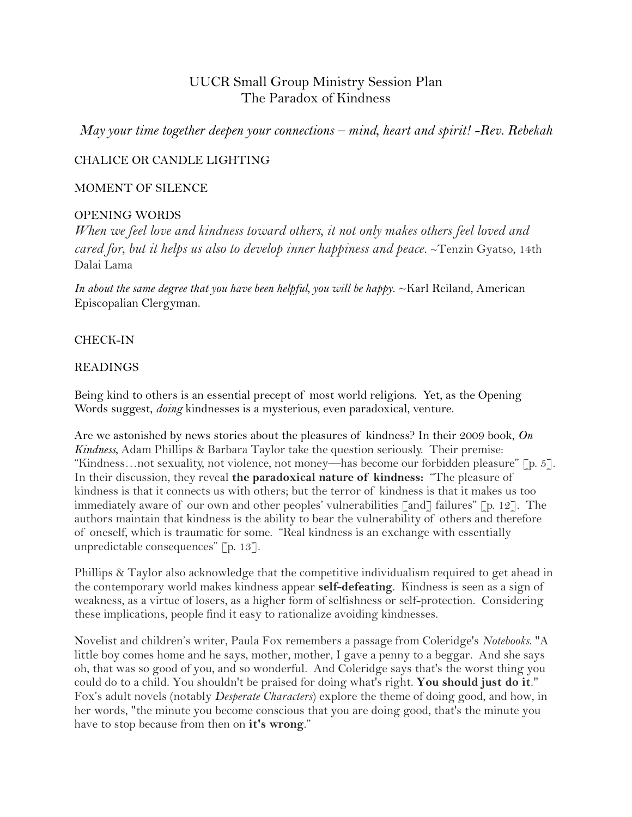# UUCR Small Group Ministry Session Plan The Paradox of Kindness

*May your time together deepen your connections – mind, heart and spirit! -Rev. Rebekah*

## CHALICE OR CANDLE LIGHTING

### MOMENT OF SILENCE

## OPENING WORDS

*[When we feel love and kindness toward others, it not only makes others feel loved and](http://www.wisdomquotes.com/quote/tenzin-gyatso-14th-dalai-lama-10.html)  [cared for, but it helps us also to develop inner happiness and peace.](http://www.wisdomquotes.com/quote/tenzin-gyatso-14th-dalai-lama-10.html)* ~Tenzin Gyatso, 14th Dalai Lama

*In about the same degree that you have been helpful, you will be happy*. ~Karl Reiland, American Episcopalian Clergyman.

### CHECK-IN

### READINGS

Being kind to others is an essential precept of most world religions. Yet, as the Opening Words suggest, *doing* kindnesses is a mysterious, even paradoxical, venture.

Are we astonished by news stories about the pleasures of kindness? In their 2009 book, *On Kindness*, Adam Phillips & Barbara Taylor take the question seriously. Their premise: "Kindness…not sexuality, not violence, not money—has become our forbidden pleasure" [p. 5]. In their discussion, they reveal **the paradoxical nature of kindness:** "The pleasure of kindness is that it connects us with others; but the terror of kindness is that it makes us too immediately aware of our own and other peoples' vulnerabilities [and] failures" [p. 12]. The authors maintain that kindness is the ability to bear the vulnerability of others and therefore of oneself, which is traumatic for some. "Real kindness is an exchange with essentially unpredictable consequences" [p. 13].

Phillips & Taylor also acknowledge that the competitive individualism required to get ahead in the contemporary world makes kindness appear **self-defeating**. Kindness is seen as a sign of weakness, as a virtue of losers, as a higher form of selfishness or self-protection. Considering these implications, people find it easy to rationalize avoiding kindnesses.

Novelist and children's writer, Paula Fox remembers a passage from Coleridge's *Notebooks*. "A little boy comes home and he says, mother, mother, I gave a penny to a beggar. And she says oh, that was so good of you, and so wonderful. And Coleridge says that's the worst thing you could do to a child. You shouldn't be praised for doing what's right. **You should just do it**." Fox's adult novels (notably *Desperate Characters*) explore the theme of doing good, and how, in her words, "the minute you become conscious that you are doing good, that's the minute you have to stop because from then on **it's wrong**."